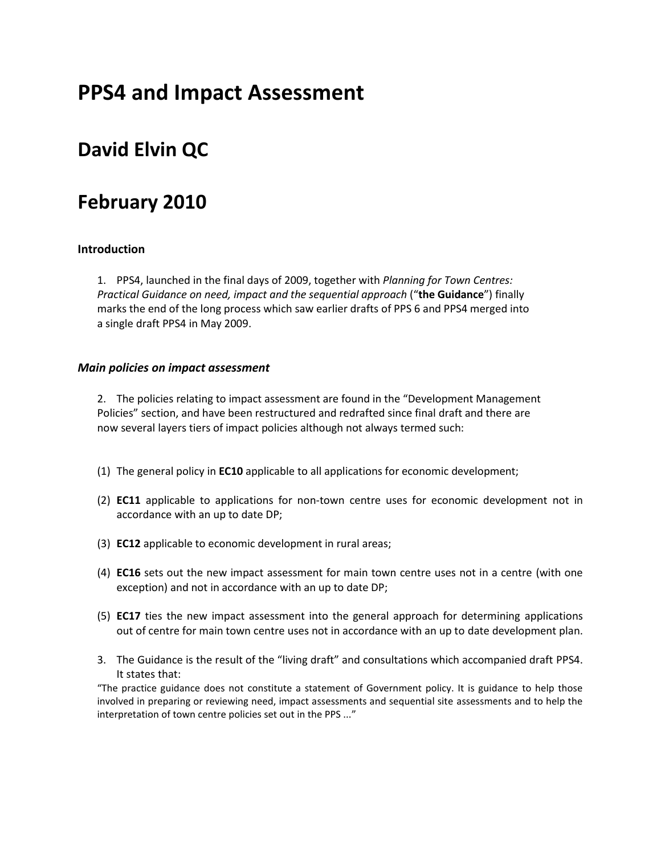# **PPS4 and Impact Assessment**

## **David Elvin QC**

## **February 2010**

#### **Introduction**

1. PPS4, launched in the final days of 2009, together with *Planning for Town Centres: Practical Guidance on need, impact and the sequential approach* ("**the Guidance**") finally marks the end of the long process which saw earlier drafts of PPS 6 and PPS4 merged into a single draft PPS4 in May 2009.

#### *Main policies on impact assessment*

2. The policies relating to impact assessment are found in the "Development Management Policies" section, and have been restructured and redrafted since final draft and there are now several layers tiers of impact policies although not always termed such:

- (1) The general policy in **EC10** applicable to all applications for economic development;
- (2) **EC11** applicable to applications for non‐town centre uses for economic development not in accordance with an up to date DP;
- (3) **EC12** applicable to economic development in rural areas;
- (4) **EC16** sets out the new impact assessment for main town centre uses not in a centre (with one exception) and not in accordance with an up to date DP;
- (5) **EC17** ties the new impact assessment into the general approach for determining applications out of centre for main town centre uses not in accordance with an up to date development plan.
- 3. The Guidance is the result of the "living draft" and consultations which accompanied draft PPS4. It states that:

"The practice guidance does not constitute a statement of Government policy. It is guidance to help those involved in preparing or reviewing need, impact assessments and sequential site assessments and to help the interpretation of town centre policies set out in the PPS ..."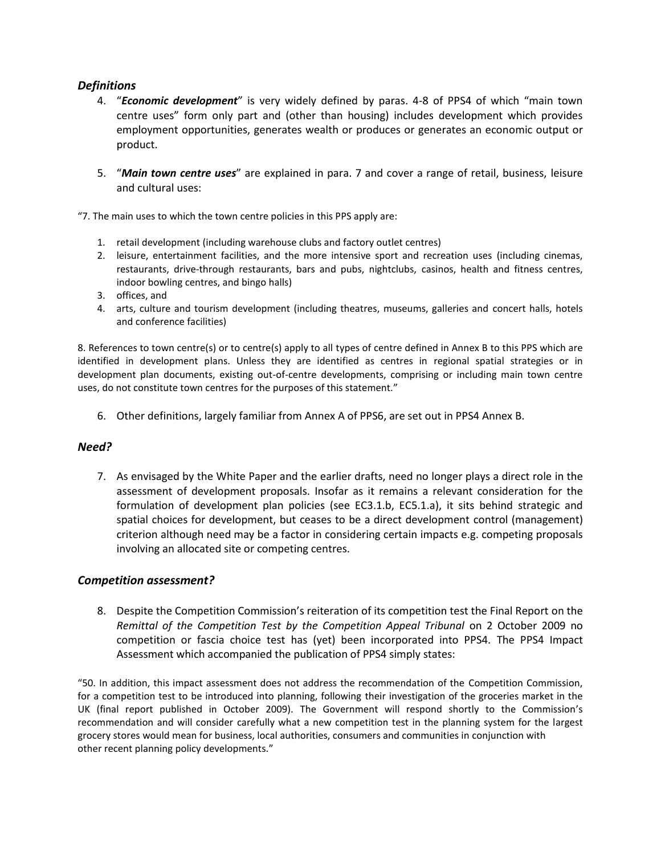#### *Definitions*

- 4. "*Economic development*" is very widely defined by paras. 4‐8 of PPS4 of which "main town centre uses" form only part and (other than housing) includes development which provides employment opportunities, generates wealth or produces or generates an economic output or product.
- 5. "*Main town centre uses*" are explained in para. 7 and cover a range of retail, business, leisure and cultural uses:

"7. The main uses to which the town centre policies in this PPS apply are:

- 1. retail development (including warehouse clubs and factory outlet centres)
- 2. leisure, entertainment facilities, and the more intensive sport and recreation uses (including cinemas, restaurants, drive-through restaurants, bars and pubs, nightclubs, casinos, health and fitness centres, indoor bowling centres, and bingo halls)
- 3. offices, and
- 4. arts, culture and tourism development (including theatres, museums, galleries and concert halls, hotels and conference facilities)

8. References to town centre(s) or to centre(s) apply to all types of centre defined in Annex B to this PPS which are identified in development plans. Unless they are identified as centres in regional spatial strategies or in development plan documents, existing out-of-centre developments, comprising or including main town centre uses, do not constitute town centres for the purposes of this statement."

6. Other definitions, largely familiar from Annex A of PPS6, are set out in PPS4 Annex B.

#### *Need?*

7. As envisaged by the White Paper and the earlier drafts, need no longer plays a direct role in the assessment of development proposals. Insofar as it remains a relevant consideration for the formulation of development plan policies (see EC3.1.b, EC5.1.a), it sits behind strategic and spatial choices for development, but ceases to be a direct development control (management) criterion although need may be a factor in considering certain impacts e.g. competing proposals involving an allocated site or competing centres.

#### *Competition assessment?*

8. Despite the Competition Commission's reiteration of its competition test the Final Report on the *Remittal of the Competition Test by the Competition Appeal Tribunal* on 2 October 2009 no competition or fascia choice test has (yet) been incorporated into PPS4. The PPS4 Impact Assessment which accompanied the publication of PPS4 simply states:

"50. In addition, this impact assessment does not address the recommendation of the Competition Commission, for a competition test to be introduced into planning, following their investigation of the groceries market in the UK (final report published in October 2009). The Government will respond shortly to the Commission's recommendation and will consider carefully what a new competition test in the planning system for the largest grocery stores would mean for business, local authorities, consumers and communities in conjunction with other recent planning policy developments."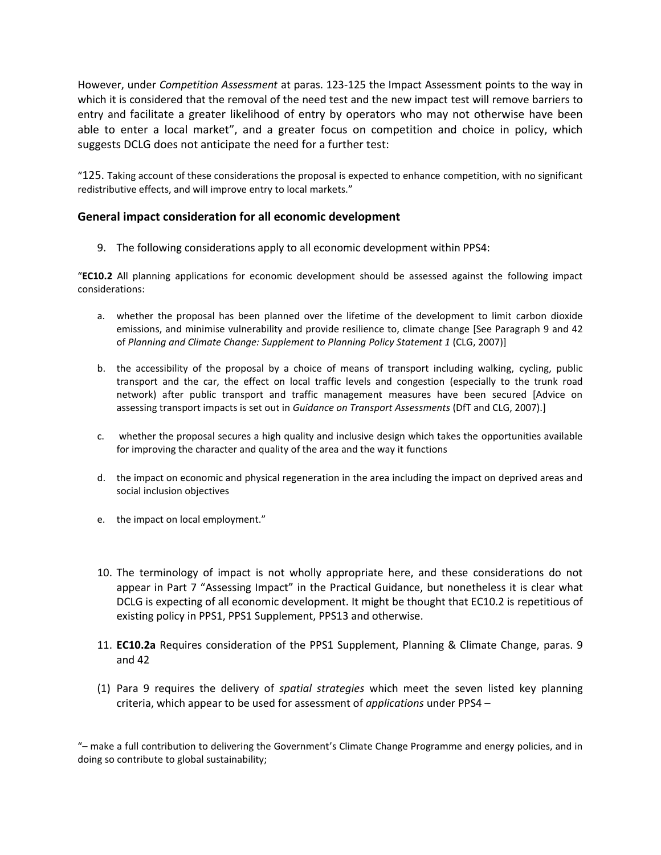However, under *Competition Assessment* at paras. 123‐125 the Impact Assessment points to the way in which it is considered that the removal of the need test and the new impact test will remove barriers to entry and facilitate a greater likelihood of entry by operators who may not otherwise have been able to enter a local market", and a greater focus on competition and choice in policy, which suggests DCLG does not anticipate the need for a further test:

"125. Taking account of these considerations the proposal is expected to enhance competition, with no significant redistributive effects, and will improve entry to local markets."

#### **General impact consideration for all economic development**

9. The following considerations apply to all economic development within PPS4:

"**EC10.2** All planning applications for economic development should be assessed against the following impact considerations:

- a. whether the proposal has been planned over the lifetime of the development to limit carbon dioxide emissions, and minimise vulnerability and provide resilience to, climate change [See Paragraph 9 and 42 of *Planning and Climate Change: Supplement to Planning Policy Statement 1* (CLG, 2007)]
- b. the accessibility of the proposal by a choice of means of transport including walking, cycling, public transport and the car, the effect on local traffic levels and congestion (especially to the trunk road network) after public transport and traffic management measures have been secured [Advice on assessing transport impacts is set out in *Guidance on Transport Assessments* (DfT and CLG, 2007).]
- c. whether the proposal secures a high quality and inclusive design which takes the opportunities available for improving the character and quality of the area and the way it functions
- d. the impact on economic and physical regeneration in the area including the impact on deprived areas and social inclusion objectives
- e. the impact on local employment."
- 10. The terminology of impact is not wholly appropriate here, and these considerations do not appear in Part 7 "Assessing Impact" in the Practical Guidance, but nonetheless it is clear what DCLG is expecting of all economic development. It might be thought that EC10.2 is repetitious of existing policy in PPS1, PPS1 Supplement, PPS13 and otherwise.
- 11. **EC10.2a** Requires consideration of the PPS1 Supplement, Planning & Climate Change, paras. 9 and 42
- (1) Para 9 requires the delivery of *spatial strategies* which meet the seven listed key planning criteria, which appear to be used for assessment of *applications* under PPS4 –

"– make a full contribution to delivering the Government's Climate Change Programme and energy policies, and in doing so contribute to global sustainability;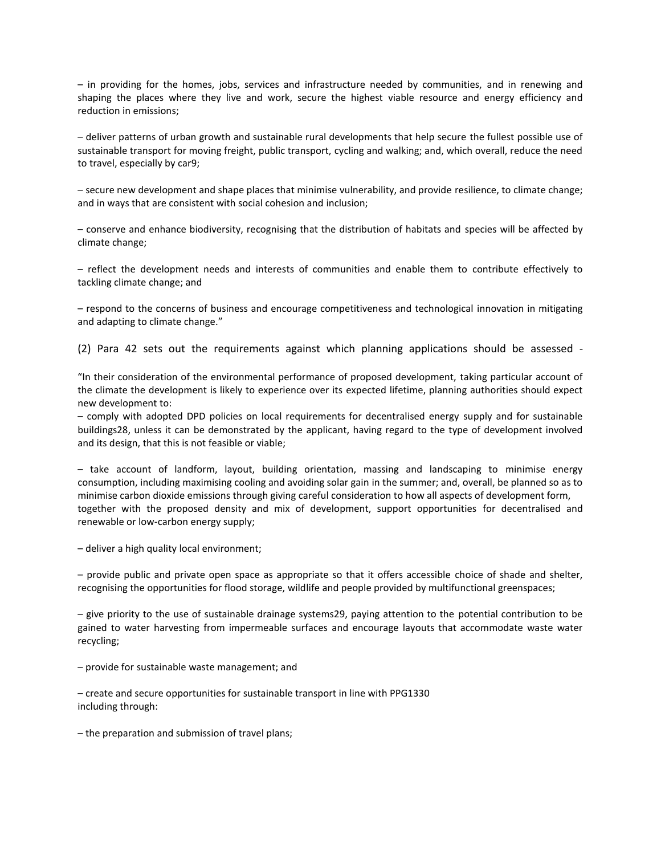– in providing for the homes, jobs, services and infrastructure needed by communities, and in renewing and shaping the places where they live and work, secure the highest viable resource and energy efficiency and reduction in emissions;

– deliver patterns of urban growth and sustainable rural developments that help secure the fullest possible use of sustainable transport for moving freight, public transport, cycling and walking; and, which overall, reduce the need to travel, especially by car9;

– secure new development and shape places that minimise vulnerability, and provide resilience, to climate change; and in ways that are consistent with social cohesion and inclusion;

– conserve and enhance biodiversity, recognising that the distribution of habitats and species will be affected by climate change;

– reflect the development needs and interests of communities and enable them to contribute effectively to tackling climate change; and

– respond to the concerns of business and encourage competitiveness and technological innovation in mitigating and adapting to climate change."

(2) Para 42 sets out the requirements against which planning applications should be assessed ‐

"In their consideration of the environmental performance of proposed development, taking particular account of the climate the development is likely to experience over its expected lifetime, planning authorities should expect new development to:

– comply with adopted DPD policies on local requirements for decentralised energy supply and for sustainable buildings28, unless it can be demonstrated by the applicant, having regard to the type of development involved and its design, that this is not feasible or viable;

– take account of landform, layout, building orientation, massing and landscaping to minimise energy consumption, including maximising cooling and avoiding solar gain in the summer; and, overall, be planned so as to minimise carbon dioxide emissions through giving careful consideration to how all aspects of development form, together with the proposed density and mix of development, support opportunities for decentralised and renewable or low-carbon energy supply;

– deliver a high quality local environment;

– provide public and private open space as appropriate so that it offers accessible choice of shade and shelter, recognising the opportunities for flood storage, wildlife and people provided by multifunctional greenspaces;

– give priority to the use of sustainable drainage systems29, paying attention to the potential contribution to be gained to water harvesting from impermeable surfaces and encourage layouts that accommodate waste water recycling;

– provide for sustainable waste management; and

– create and secure opportunities for sustainable transport in line with PPG1330 including through:

– the preparation and submission of travel plans;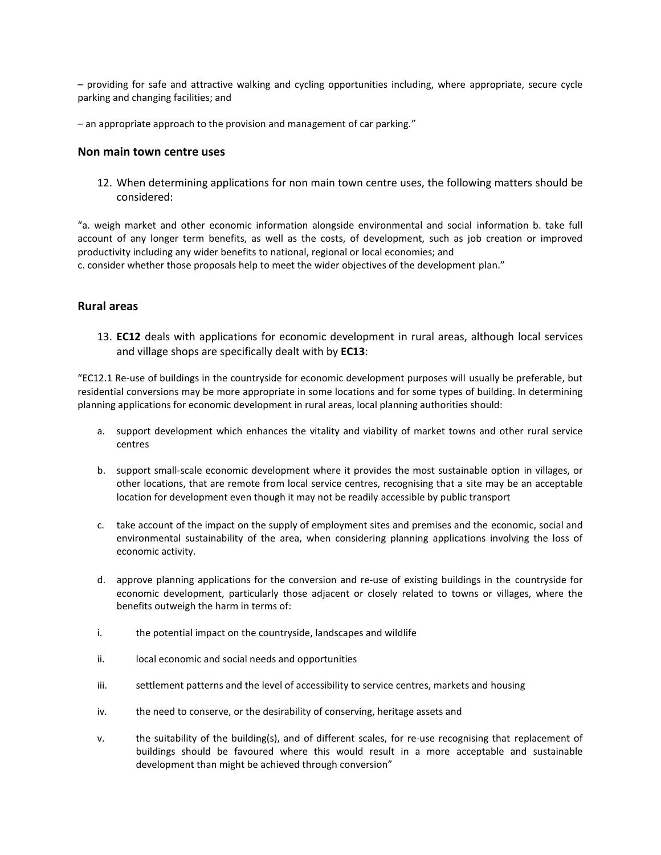– providing for safe and attractive walking and cycling opportunities including, where appropriate, secure cycle parking and changing facilities; and

– an appropriate approach to the provision and management of car parking."

#### **Non main town centre uses**

12. When determining applications for non main town centre uses, the following matters should be considered:

"a. weigh market and other economic information alongside environmental and social information b. take full account of any longer term benefits, as well as the costs, of development, such as job creation or improved productivity including any wider benefits to national, regional or local economies; and

c. consider whether those proposals help to meet the wider objectives of the development plan."

#### **Rural areas**

13. **EC12** deals with applications for economic development in rural areas, although local services and village shops are specifically dealt with by **EC13**:

"EC12.1 Re‐use of buildings in the countryside for economic development purposes will usually be preferable, but residential conversions may be more appropriate in some locations and for some types of building. In determining planning applications for economic development in rural areas, local planning authorities should:

- a. support development which enhances the vitality and viability of market towns and other rural service centres
- b. support small‐scale economic development where it provides the most sustainable option in villages, or other locations, that are remote from local service centres, recognising that a site may be an acceptable location for development even though it may not be readily accessible by public transport
- c. take account of the impact on the supply of employment sites and premises and the economic, social and environmental sustainability of the area, when considering planning applications involving the loss of economic activity.
- d. approve planning applications for the conversion and re‐use of existing buildings in the countryside for economic development, particularly those adjacent or closely related to towns or villages, where the benefits outweigh the harm in terms of:
- i. the potential impact on the countryside, landscapes and wildlife
- ii. local economic and social needs and opportunities
- iii. settlement patterns and the level of accessibility to service centres, markets and housing
- iv. the need to conserve, or the desirability of conserving, heritage assets and
- v. the suitability of the building(s), and of different scales, for re‐use recognising that replacement of buildings should be favoured where this would result in a more acceptable and sustainable development than might be achieved through conversion"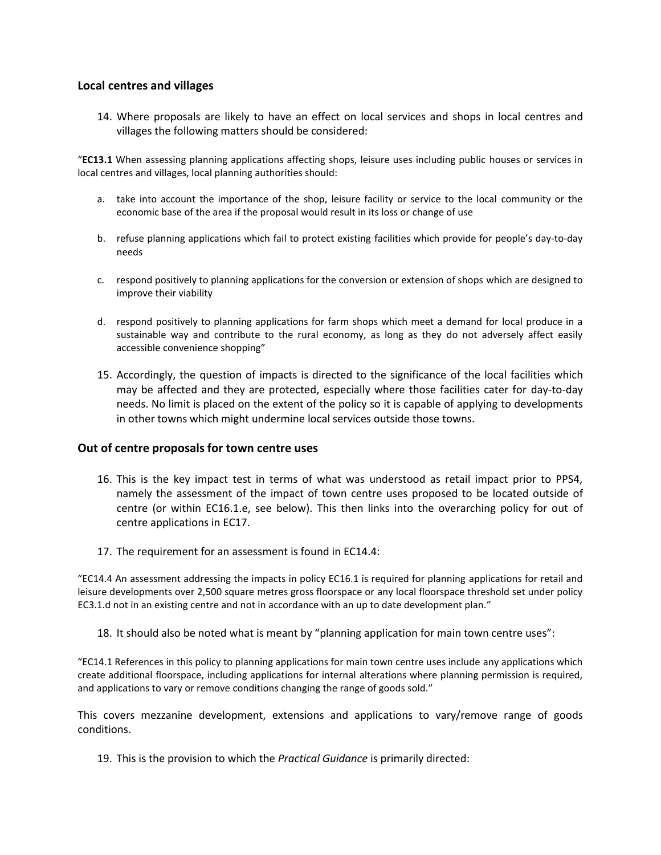#### **Local centres and villages**

14. Where proposals are likely to have an effect on local services and shops in local centres and villages the following matters should be considered:

"**EC13.1** When assessing planning applications affecting shops, leisure uses including public houses or services in local centres and villages, local planning authorities should:

- a. take into account the importance of the shop, leisure facility or service to the local community or the economic base of the area if the proposal would result in its loss or change of use
- b. refuse planning applications which fail to protect existing facilities which provide for people's day‐to‐day needs
- c. respond positively to planning applications for the conversion or extension of shops which are designed to improve their viability
- d. respond positively to planning applications for farm shops which meet a demand for local produce in a sustainable way and contribute to the rural economy, as long as they do not adversely affect easily accessible convenience shopping"
- 15. Accordingly, the question of impacts is directed to the significance of the local facilities which may be affected and they are protected, especially where those facilities cater for day‐to‐day needs. No limit is placed on the extent of the policy so it is capable of applying to developments in other towns which might undermine local services outside those towns.

#### **Out of centre proposals for town centre uses**

- 16. This is the key impact test in terms of what was understood as retail impact prior to PPS4, namely the assessment of the impact of town centre uses proposed to be located outside of centre (or within EC16.1.e, see below). This then links into the overarching policy for out of centre applications in EC17.
- 17. The requirement for an assessment is found in EC14.4:

"EC14.4 An assessment addressing the impacts in policy EC16.1 is required for planning applications for retail and leisure developments over 2,500 square metres gross floorspace or any local floorspace threshold set under policy EC3.1.d not in an existing centre and not in accordance with an up to date development plan."

18. It should also be noted what is meant by "planning application for main town centre uses":

"EC14.1 References in this policy to planning applications for main town centre uses include any applications which create additional floorspace, including applications for internal alterations where planning permission is required, and applications to vary or remove conditions changing the range of goods sold."

This covers mezzanine development, extensions and applications to vary/remove range of goods conditions.

19. This is the provision to which the *Practical Guidance* is primarily directed: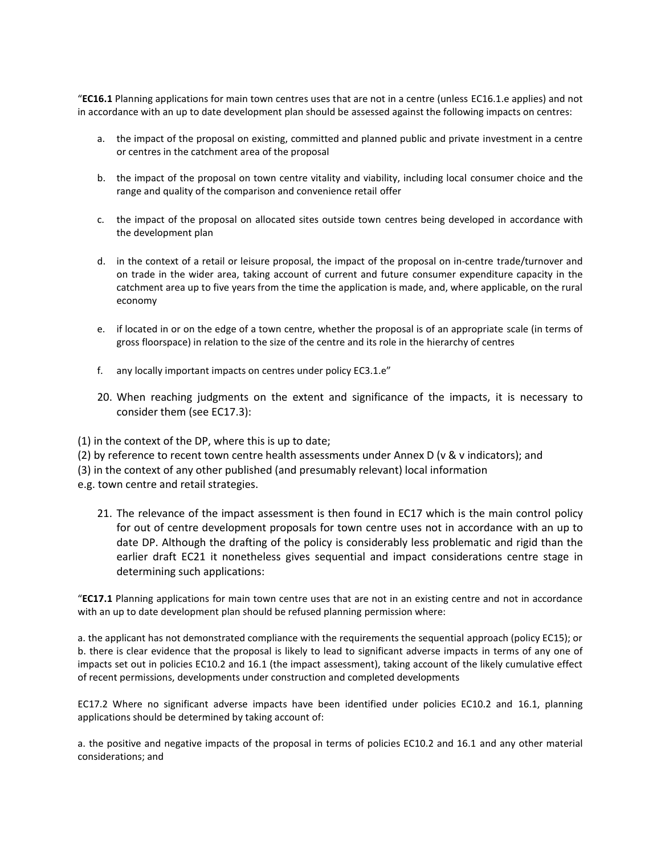"**EC16.1** Planning applications for main town centres uses that are not in a centre (unless EC16.1.e applies) and not in accordance with an up to date development plan should be assessed against the following impacts on centres:

- a. the impact of the proposal on existing, committed and planned public and private investment in a centre or centres in the catchment area of the proposal
- b. the impact of the proposal on town centre vitality and viability, including local consumer choice and the range and quality of the comparison and convenience retail offer
- c. the impact of the proposal on allocated sites outside town centres being developed in accordance with the development plan
- d. in the context of a retail or leisure proposal, the impact of the proposal on in‐centre trade/turnover and on trade in the wider area, taking account of current and future consumer expenditure capacity in the catchment area up to five years from the time the application is made, and, where applicable, on the rural economy
- e. if located in or on the edge of a town centre, whether the proposal is of an appropriate scale (in terms of gross floorspace) in relation to the size of the centre and its role in the hierarchy of centres
- f. any locally important impacts on centres under policy EC3.1.e"
- 20. When reaching judgments on the extent and significance of the impacts, it is necessary to consider them (see EC17.3):

(1) in the context of the DP, where this is up to date;

- (2) by reference to recent town centre health assessments under Annex D (v & v indicators); and
- (3) in the context of any other published (and presumably relevant) local information

e.g. town centre and retail strategies.

21. The relevance of the impact assessment is then found in EC17 which is the main control policy for out of centre development proposals for town centre uses not in accordance with an up to date DP. Although the drafting of the policy is considerably less problematic and rigid than the earlier draft EC21 it nonetheless gives sequential and impact considerations centre stage in determining such applications:

"**EC17.1** Planning applications for main town centre uses that are not in an existing centre and not in accordance with an up to date development plan should be refused planning permission where:

a. the applicant has not demonstrated compliance with the requirements the sequential approach (policy EC15); or b. there is clear evidence that the proposal is likely to lead to significant adverse impacts in terms of any one of impacts set out in policies EC10.2 and 16.1 (the impact assessment), taking account of the likely cumulative effect of recent permissions, developments under construction and completed developments

EC17.2 Where no significant adverse impacts have been identified under policies EC10.2 and 16.1, planning applications should be determined by taking account of:

a. the positive and negative impacts of the proposal in terms of policies EC10.2 and 16.1 and any other material considerations; and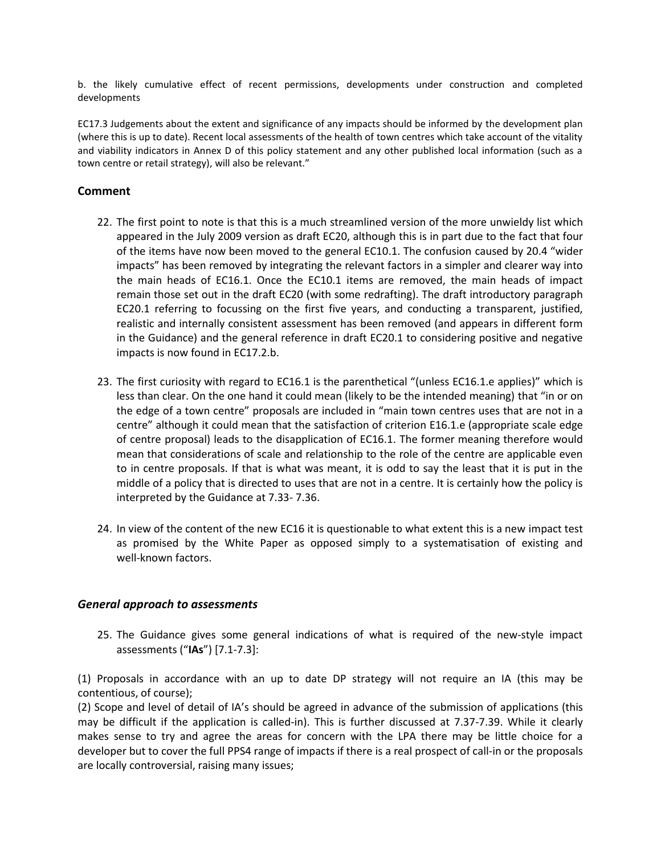b. the likely cumulative effect of recent permissions, developments under construction and completed developments

EC17.3 Judgements about the extent and significance of any impacts should be informed by the development plan (where this is up to date). Recent local assessments of the health of town centres which take account of the vitality and viability indicators in Annex D of this policy statement and any other published local information (such as a town centre or retail strategy), will also be relevant."

#### **Comment**

- 22. The first point to note is that this is a much streamlined version of the more unwieldy list which appeared in the July 2009 version as draft EC20, although this is in part due to the fact that four of the items have now been moved to the general EC10.1. The confusion caused by 20.4 "wider impacts" has been removed by integrating the relevant factors in a simpler and clearer way into the main heads of EC16.1. Once the EC10.1 items are removed, the main heads of impact remain those set out in the draft EC20 (with some redrafting). The draft introductory paragraph EC20.1 referring to focussing on the first five years, and conducting a transparent, justified, realistic and internally consistent assessment has been removed (and appears in different form in the Guidance) and the general reference in draft EC20.1 to considering positive and negative impacts is now found in EC17.2.b.
- 23. The first curiosity with regard to EC16.1 is the parenthetical "(unless EC16.1.e applies)" which is less than clear. On the one hand it could mean (likely to be the intended meaning) that "in or on the edge of a town centre" proposals are included in "main town centres uses that are not in a centre" although it could mean that the satisfaction of criterion E16.1.e (appropriate scale edge of centre proposal) leads to the disapplication of EC16.1. The former meaning therefore would mean that considerations of scale and relationship to the role of the centre are applicable even to in centre proposals. If that is what was meant, it is odd to say the least that it is put in the middle of a policy that is directed to uses that are not in a centre. It is certainly how the policy is interpreted by the Guidance at 7.33‐ 7.36.
- 24. In view of the content of the new EC16 it is questionable to what extent this is a new impact test as promised by the White Paper as opposed simply to a systematisation of existing and well-known factors.

#### *General approach to assessments*

25. The Guidance gives some general indications of what is required of the new‐style impact assessments ("**IAs**") [7.1-7.3]:

(1) Proposals in accordance with an up to date DP strategy will not require an IA (this may be contentious, of course);

(2) Scope and level of detail of IA's should be agreed in advance of the submission of applications (this may be difficult if the application is called-in). This is further discussed at 7.37-7.39. While it clearly makes sense to try and agree the areas for concern with the LPA there may be little choice for a developer but to cover the full PPS4 range of impacts if there is a real prospect of call‐in or the proposals are locally controversial, raising many issues;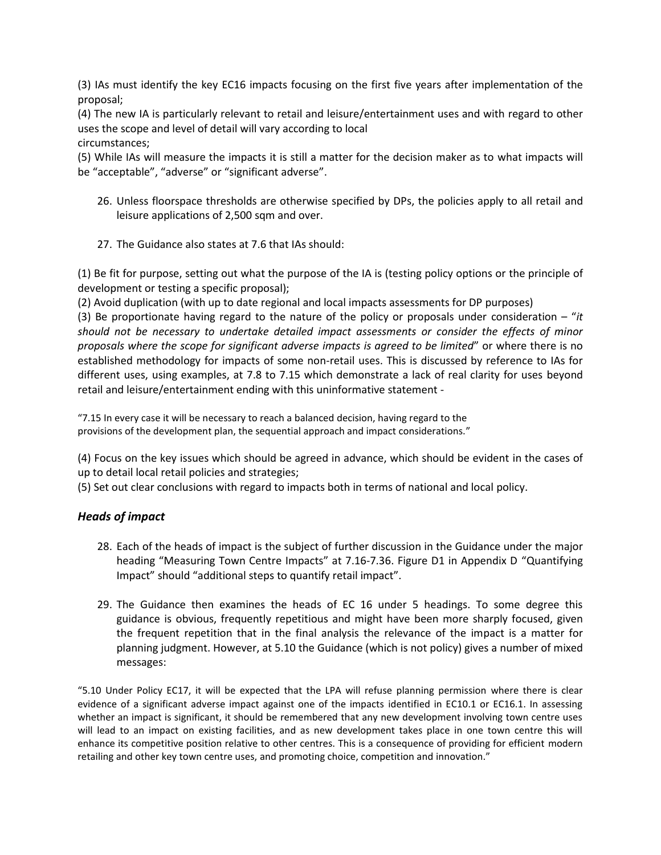(3) IAs must identify the key EC16 impacts focusing on the first five years after implementation of the proposal;

(4) The new IA is particularly relevant to retail and leisure/entertainment uses and with regard to other uses the scope and level of detail will vary according to local

circumstances;

(5) While IAs will measure the impacts it is still a matter for the decision maker as to what impacts will be "acceptable", "adverse" or "significant adverse".

- 26. Unless floorspace thresholds are otherwise specified by DPs, the policies apply to all retail and leisure applications of 2,500 sqm and over.
- 27. The Guidance also states at 7.6 that IAs should:

(1) Be fit for purpose, setting out what the purpose of the IA is (testing policy options or the principle of development or testing a specific proposal);

(2) Avoid duplication (with up to date regional and local impacts assessments for DP purposes)

(3) Be proportionate having regard to the nature of the policy or proposals under consideration – "*it should not be necessary to undertake detailed impact assessments or consider the effects of minor proposals where the scope for significant adverse impacts is agreed to be limited*" or where there is no established methodology for impacts of some non-retail uses. This is discussed by reference to IAs for different uses, using examples, at 7.8 to 7.15 which demonstrate a lack of real clarity for uses beyond retail and leisure/entertainment ending with this uninformative statement ‐

"7.15 In every case it will be necessary to reach a balanced decision, having regard to the provisions of the development plan, the sequential approach and impact considerations."

(4) Focus on the key issues which should be agreed in advance, which should be evident in the cases of up to detail local retail policies and strategies;

(5) Set out clear conclusions with regard to impacts both in terms of national and local policy.

### *Heads of impact*

- 28. Each of the heads of impact is the subject of further discussion in the Guidance under the major heading "Measuring Town Centre Impacts" at 7.16‐7.36. Figure D1 in Appendix D "Quantifying Impact" should "additional steps to quantify retail impact".
- 29. The Guidance then examines the heads of EC 16 under 5 headings. To some degree this guidance is obvious, frequently repetitious and might have been more sharply focused, given the frequent repetition that in the final analysis the relevance of the impact is a matter for planning judgment. However, at 5.10 the Guidance (which is not policy) gives a number of mixed messages:

"5.10 Under Policy EC17, it will be expected that the LPA will refuse planning permission where there is clear evidence of a significant adverse impact against one of the impacts identified in EC10.1 or EC16.1. In assessing whether an impact is significant, it should be remembered that any new development involving town centre uses will lead to an impact on existing facilities, and as new development takes place in one town centre this will enhance its competitive position relative to other centres. This is a consequence of providing for efficient modern retailing and other key town centre uses, and promoting choice, competition and innovation."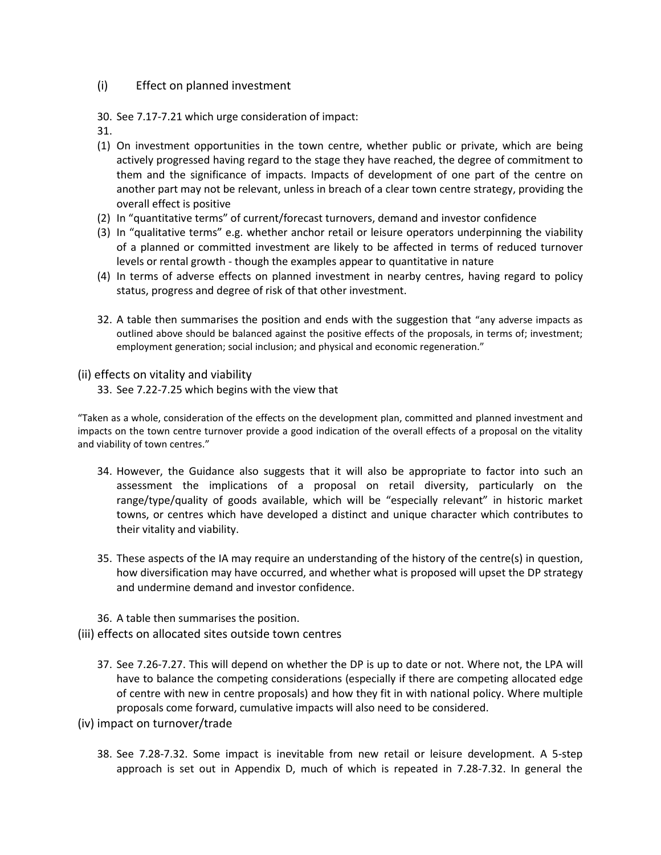### (i) Effect on planned investment

30. See 7.17‐7.21 which urge consideration of impact:

31.

- (1) On investment opportunities in the town centre, whether public or private, which are being actively progressed having regard to the stage they have reached, the degree of commitment to them and the significance of impacts. Impacts of development of one part of the centre on another part may not be relevant, unless in breach of a clear town centre strategy, providing the overall effect is positive
- (2) In "quantitative terms" of current/forecast turnovers, demand and investor confidence
- (3) In "qualitative terms" e.g. whether anchor retail or leisure operators underpinning the viability of a planned or committed investment are likely to be affected in terms of reduced turnover levels or rental growth ‐ though the examples appear to quantitative in nature
- (4) In terms of adverse effects on planned investment in nearby centres, having regard to policy status, progress and degree of risk of that other investment.
- 32. A table then summarises the position and ends with the suggestion that "any adverse impacts as outlined above should be balanced against the positive effects of the proposals, in terms of; investment; employment generation; social inclusion; and physical and economic regeneration."

#### (ii) effects on vitality and viability

33. See 7.22‐7.25 which begins with the view that

"Taken as a whole, consideration of the effects on the development plan, committed and planned investment and impacts on the town centre turnover provide a good indication of the overall effects of a proposal on the vitality and viability of town centres."

- 34. However, the Guidance also suggests that it will also be appropriate to factor into such an assessment the implications of a proposal on retail diversity, particularly on the range/type/quality of goods available, which will be "especially relevant" in historic market towns, or centres which have developed a distinct and unique character which contributes to their vitality and viability.
- 35. These aspects of the IA may require an understanding of the history of the centre(s) in question, how diversification may have occurred, and whether what is proposed will upset the DP strategy and undermine demand and investor confidence.
- 36. A table then summarises the position.
- (iii) effects on allocated sites outside town centres
	- 37. See 7.26‐7.27. This will depend on whether the DP is up to date or not. Where not, the LPA will have to balance the competing considerations (especially if there are competing allocated edge of centre with new in centre proposals) and how they fit in with national policy. Where multiple proposals come forward, cumulative impacts will also need to be considered.
- (iv) impact on turnover/trade
	- 38. See 7.28‐7.32. Some impact is inevitable from new retail or leisure development. A 5‐step approach is set out in Appendix D, much of which is repeated in 7.28‐7.32. In general the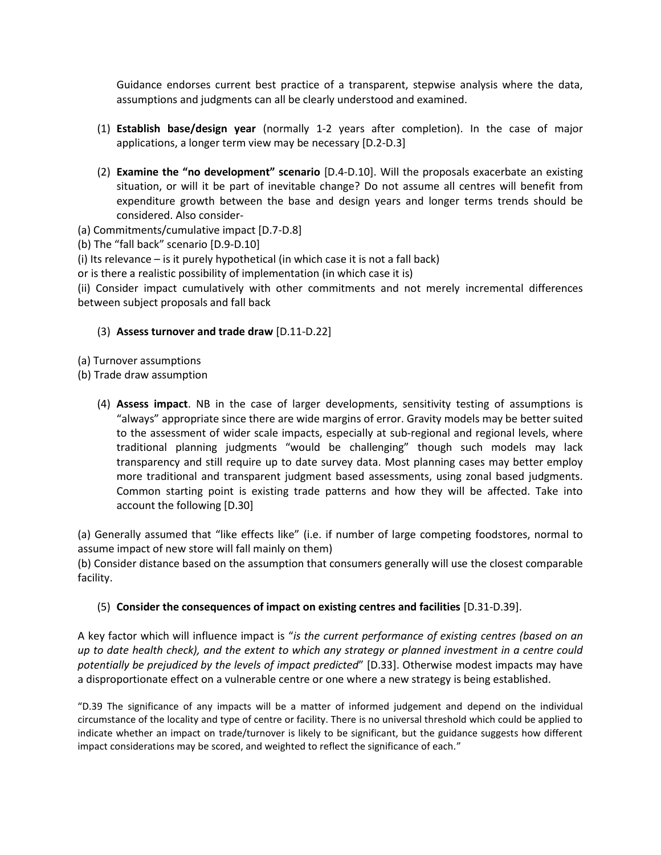Guidance endorses current best practice of a transparent, stepwise analysis where the data, assumptions and judgments can all be clearly understood and examined.

- (1) **Establish base/design year** (normally 1‐2 years after completion). In the case of major applications, a longer term view may be necessary  $[D.2-D.3]$
- (2) **Examine the "no development" scenario** [D.4-D.10]. Will the proposals exacerbate an existing situation, or will it be part of inevitable change? Do not assume all centres will benefit from expenditure growth between the base and design years and longer terms trends should be considered. Also consider‐
- (a) Commitments/cumulative impact [D.7‐D.8]

(b) The "fall back" scenario [D.9‐D.10]

(i) Its relevance – is it purely hypothetical (in which case it is not a fall back)

or is there a realistic possibility of implementation (in which case it is)

(ii) Consider impact cumulatively with other commitments and not merely incremental differences between subject proposals and fall back

#### (3) Assess turnover and trade draw [D.11-D.22]

(a) Turnover assumptions

(b) Trade draw assumption

(4) **Assess impact**. NB in the case of larger developments, sensitivity testing of assumptions is "always" appropriate since there are wide margins of error. Gravity models may be better suited to the assessment of wider scale impacts, especially at sub-regional and regional levels, where traditional planning judgments "would be challenging" though such models may lack transparency and still require up to date survey data. Most planning cases may better employ more traditional and transparent judgment based assessments, using zonal based judgments. Common starting point is existing trade patterns and how they will be affected. Take into account the following [D.30]

(a) Generally assumed that "like effects like" (i.e. if number of large competing foodstores, normal to assume impact of new store will fall mainly on them)

(b) Consider distance based on the assumption that consumers generally will use the closest comparable facility.

#### (5) **Consider the consequences of impact on existing centres and facilities** [D.31-D.39].

A key factor which will influence impact is "*is the current performance of existing centres (based on an up to date health check), and the extent to which any strategy or planned investment in a centre could potentially be prejudiced by the levels of impact predicted*" [D.33]. Otherwise modest impacts may have a disproportionate effect on a vulnerable centre or one where a new strategy is being established.

"D.39 The significance of any impacts will be a matter of informed judgement and depend on the individual circumstance of the locality and type of centre or facility. There is no universal threshold which could be applied to indicate whether an impact on trade/turnover is likely to be significant, but the guidance suggests how different impact considerations may be scored, and weighted to reflect the significance of each."